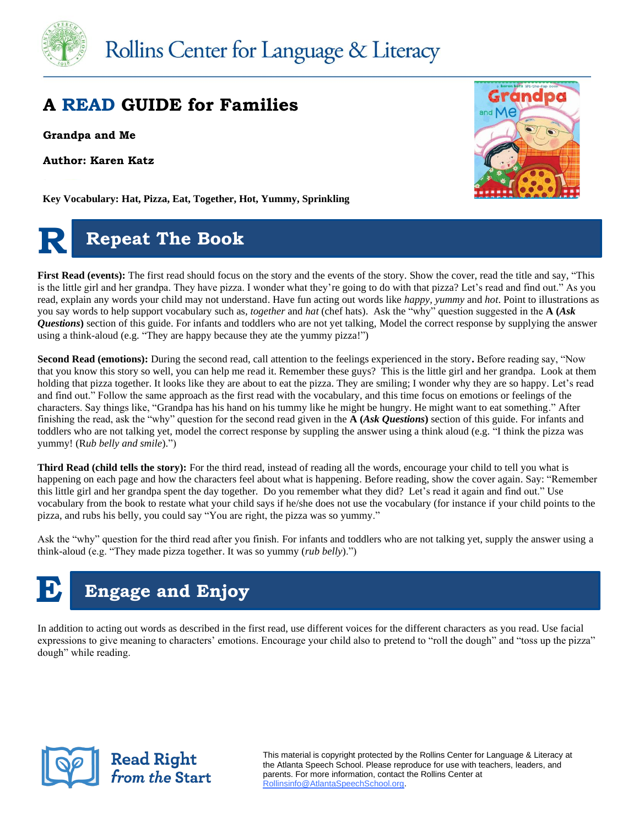

## **A READ GUIDE for Families**

**Grandpa and Me**

**Author: Karen Katz**

 **Key Vocabulary: Hat, Pizza, Eat, Together, Hot, Yummy, Sprinkling**

## **R Repeat The Book**

**First Read (events):** The first read should focus on the story and the events of the story. Show the cover, read the title and say, "This is the little girl and her grandpa. They have pizza. I wonder what they're going to do with that pizza? Let's read and find out." As you read, explain any words your child may not understand. Have fun acting out words like *happy, yummy* and *hot*. Point to illustrations as you say words to help support vocabulary such as, *together* and *hat* (chef hats). Ask the "why" question suggested in the **A (***Ask Questions***)** section of this guide. For infants and toddlers who are not yet talking, Model the correct response by supplying the answer using a think-aloud (e.g. "They are happy because they ate the yummy pizza!")

**Second Read (emotions):** During the second read, call attention to the feelings experienced in the story**.** Before reading say, "Now that you know this story so well, you can help me read it. Remember these guys? This is the little girl and her grandpa. Look at them holding that pizza together. It looks like they are about to eat the pizza. They are smiling; I wonder why they are so happy. Let's read and find out." Follow the same approach as the first read with the vocabulary, and this time focus on emotions or feelings of the characters. Say things like, "Grandpa has his hand on his tummy like he might be hungry. He might want to eat something." After finishing the read, ask the "why" question for the second read given in the **A (***Ask Questions***)** section of this guide. For infants and toddlers who are not talking yet, model the correct response by suppling the answer using a think aloud (e.g. "I think the pizza was yummy! (R*ub belly and smile*).")

**Third Read (child tells the story):** For the third read, instead of reading all the words, encourage your child to tell you what is happening on each page and how the characters feel about what is happening. Before reading, show the cover again. Say: "Remember this little girl and her grandpa spent the day together. Do you remember what they did? Let's read it again and find out." Use vocabulary from the book to restate what your child says if he/she does not use the vocabulary (for instance if your child points to the pizza, and rubs his belly, you could say "You are right, the pizza was so yummy."

Ask the "why" question for the third read after you finish. For infants and toddlers who are not talking yet, supply the answer using a think-aloud (e.g. "They made pizza together. It was so yummy (*rub belly*).")



In addition to acting out words as described in the first read, use different voices for the different characters as you read. Use facial expressions to give meaning to characters' emotions. Encourage your child also to pretend to "roll the dough" and "toss up the pizza" dough" while reading.



This material is copyright protected by the Rollins Center for Language & Literacy at the Atlanta Speech School. Please reproduce for use with teachers, leaders, and parents. For more information, contact the Rollins Center at [Rollinsinfo@AtlantaSpeechSchool.org.](mailto:Rollinsinfo@AtlantaSpeechSchool.org)